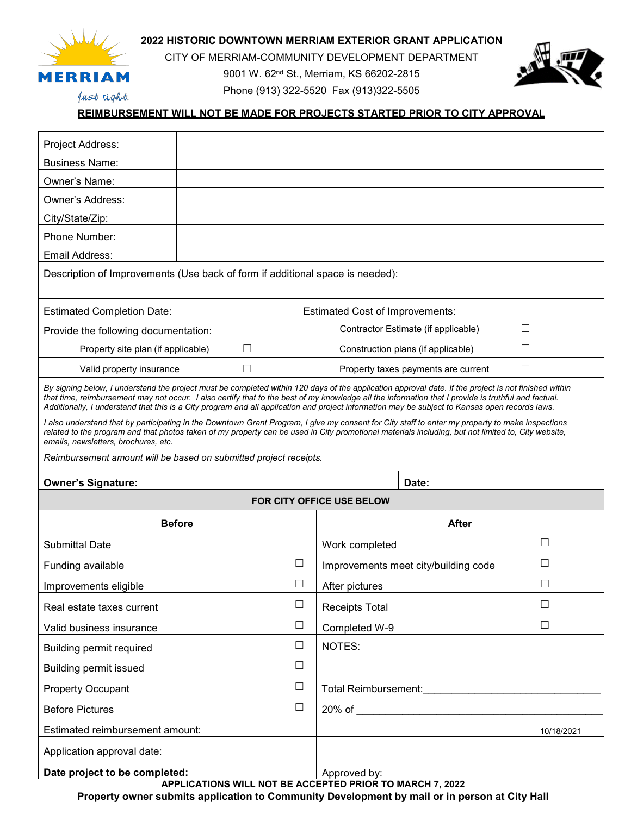

**2022 HISTORIC DOWNTOWN MERRIAM EXTERIOR GRANT APPLICATION**

CITY OF MERRIAM-COMMUNITY DEVELOPMENT DEPARTMENT

9001 W. 62nd St., Merriam, KS 66202-2815 Phone (913) 322-5520 Fax (913)322-5505

Just right.

# **REIMBURSEMENT WILL NOT BE MADE FOR PROJECTS STARTED PRIOR TO CITY APPROVAL**

| Project Address:                                                                                                                                                                                                                                                                                                                                                                                                                                              |                                                                   |                                               |                                                          |              |
|---------------------------------------------------------------------------------------------------------------------------------------------------------------------------------------------------------------------------------------------------------------------------------------------------------------------------------------------------------------------------------------------------------------------------------------------------------------|-------------------------------------------------------------------|-----------------------------------------------|----------------------------------------------------------|--------------|
| <b>Business Name:</b>                                                                                                                                                                                                                                                                                                                                                                                                                                         |                                                                   |                                               |                                                          |              |
| Owner's Name:                                                                                                                                                                                                                                                                                                                                                                                                                                                 |                                                                   |                                               |                                                          |              |
| <b>Owner's Address:</b>                                                                                                                                                                                                                                                                                                                                                                                                                                       |                                                                   |                                               |                                                          |              |
| City/State/Zip:                                                                                                                                                                                                                                                                                                                                                                                                                                               |                                                                   |                                               |                                                          |              |
| Phone Number:                                                                                                                                                                                                                                                                                                                                                                                                                                                 |                                                                   |                                               |                                                          |              |
| Email Address:                                                                                                                                                                                                                                                                                                                                                                                                                                                |                                                                   |                                               |                                                          |              |
| Description of Improvements (Use back of form if additional space is needed):                                                                                                                                                                                                                                                                                                                                                                                 |                                                                   |                                               |                                                          |              |
|                                                                                                                                                                                                                                                                                                                                                                                                                                                               |                                                                   |                                               |                                                          |              |
| <b>Estimated Completion Date:</b>                                                                                                                                                                                                                                                                                                                                                                                                                             |                                                                   | <b>Estimated Cost of Improvements:</b>        |                                                          |              |
| Provide the following documentation:                                                                                                                                                                                                                                                                                                                                                                                                                          |                                                                   | Contractor Estimate (if applicable)<br>$\Box$ |                                                          |              |
| Property site plan (if applicable)<br>$\Box$                                                                                                                                                                                                                                                                                                                                                                                                                  |                                                                   |                                               | Construction plans (if applicable)<br>$\Box$             |              |
| Valid property insurance<br>$\perp$                                                                                                                                                                                                                                                                                                                                                                                                                           |                                                                   |                                               | Property taxes payments are current<br>$\vert \ \ \vert$ |              |
| By signing below, I understand the project must be completed within 120 days of the application approval date. If the project is not finished within<br>that time, reimbursement may not occur. I also certify that to the best of my knowledge all the information that I provide is truthful and factual.<br>Additionally, I understand that this is a City program and all application and project information may be subject to Kansas open records laws. |                                                                   |                                               |                                                          |              |
| I also understand that by participating in the Downtown Grant Program, I give my consent for City staff to enter my property to make inspections<br>related to the program and that photos taken of my property can be used in City promotional materials including, but not limited to, City website,<br>emails, newsletters, brochures, etc.                                                                                                                |                                                                   |                                               |                                                          |              |
|                                                                                                                                                                                                                                                                                                                                                                                                                                                               | Reimbursement amount will be based on submitted project receipts. |                                               |                                                          |              |
|                                                                                                                                                                                                                                                                                                                                                                                                                                                               |                                                                   |                                               |                                                          |              |
|                                                                                                                                                                                                                                                                                                                                                                                                                                                               |                                                                   |                                               |                                                          |              |
| <b>Owner's Signature:</b>                                                                                                                                                                                                                                                                                                                                                                                                                                     |                                                                   | <b>FOR CITY OFFICE USE BELOW</b>              | Date:                                                    |              |
|                                                                                                                                                                                                                                                                                                                                                                                                                                                               |                                                                   |                                               | <b>After</b>                                             |              |
|                                                                                                                                                                                                                                                                                                                                                                                                                                                               | <b>Before</b>                                                     |                                               |                                                          | □            |
| <b>Submittal Date</b><br>Funding available                                                                                                                                                                                                                                                                                                                                                                                                                    | $\Box$                                                            | Work completed                                | Improvements meet city/building code                     | $\mathbf{L}$ |
| Improvements eligible                                                                                                                                                                                                                                                                                                                                                                                                                                         | $\mathsf{L}$                                                      | After pictures                                |                                                          | H            |
| Real estate taxes current                                                                                                                                                                                                                                                                                                                                                                                                                                     | $\Box$                                                            | Receipts Total                                |                                                          | $\Box$       |
| Valid business insurance                                                                                                                                                                                                                                                                                                                                                                                                                                      | $\Box$                                                            | Completed W-9                                 |                                                          | П            |
| <b>Building permit required</b>                                                                                                                                                                                                                                                                                                                                                                                                                               | $\Box$                                                            | NOTES:                                        |                                                          |              |
| <b>Building permit issued</b>                                                                                                                                                                                                                                                                                                                                                                                                                                 | $\Box$                                                            |                                               |                                                          |              |
| <b>Property Occupant</b>                                                                                                                                                                                                                                                                                                                                                                                                                                      | $\Box$                                                            |                                               | Total Reimbursement:<br>Total Reimbursement:             |              |
| <b>Before Pictures</b>                                                                                                                                                                                                                                                                                                                                                                                                                                        | $\Box$                                                            |                                               | $20\%$ of                                                |              |
| Estimated reimbursement amount:                                                                                                                                                                                                                                                                                                                                                                                                                               |                                                                   |                                               |                                                          | 10/18/2021   |
| Application approval date:                                                                                                                                                                                                                                                                                                                                                                                                                                    |                                                                   |                                               |                                                          |              |
| Date project to be completed:                                                                                                                                                                                                                                                                                                                                                                                                                                 | APPLICATIONS WILL NOT BE ACCEPTED PRIOR TO MARCH 7, 2022          | Approved by:                                  |                                                          |              |